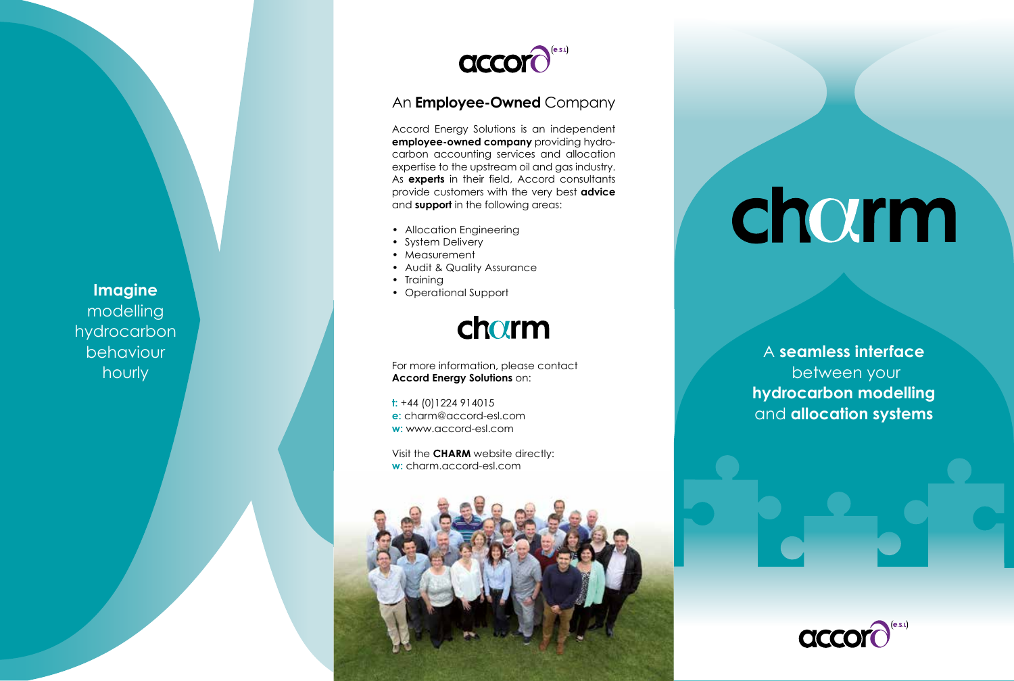

## An **Employee-Owned** Company

Accord Energy Solutions is an independent **employee-owned company** providing hydro carbon accounting services and allocation expertise to the upstream oil and gas industry. As **experts** in their field, Accord consultants provide customers with the very best **advice** and **support** in the following areas:

- Allocation Engineering
- System Delivery
- Measurement
- Audit & Quality Assurance
- Training
- Operational Support



For more information, please contact **Accord Energy Solutions** on:

**t:** +44 (0)1224 914015 **e:** charm@accord-esl.com **w:** www.accord-esl.com

Visit the **CHARM** website directly: **w:** charm.accord-esl.com



# charm

A **seamless interface** between your **hydrocarbon modelling** and **allocation systems**



**Imagine** modelling hydrocarbon behaviour hourly